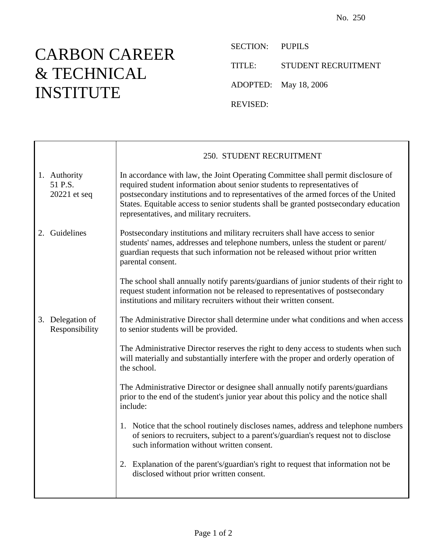## CARBON CAREER & TECHNICAL INSTITUTE

 $\mathsf{r}$ 

SECTION: PUPILS TITLE: STUDENT RECRUITMENT ADOPTED: May 18, 2006 REVISED:

|                                         | 250. STUDENT RECRUITMENT                                                                                                                                                                                                                                                                                                                                                                 |
|-----------------------------------------|------------------------------------------------------------------------------------------------------------------------------------------------------------------------------------------------------------------------------------------------------------------------------------------------------------------------------------------------------------------------------------------|
| 1. Authority<br>51 P.S.<br>20221 et seq | In accordance with law, the Joint Operating Committee shall permit disclosure of<br>required student information about senior students to representatives of<br>postsecondary institutions and to representatives of the armed forces of the United<br>States. Equitable access to senior students shall be granted postsecondary education<br>representatives, and military recruiters. |
| 2. Guidelines                           | Postsecondary institutions and military recruiters shall have access to senior<br>students' names, addresses and telephone numbers, unless the student or parent/<br>guardian requests that such information not be released without prior written<br>parental consent.                                                                                                                  |
|                                         | The school shall annually notify parents/guardians of junior students of their right to<br>request student information not be released to representatives of postsecondary<br>institutions and military recruiters without their written consent.                                                                                                                                        |
| 3. Delegation of<br>Responsibility      | The Administrative Director shall determine under what conditions and when access<br>to senior students will be provided.                                                                                                                                                                                                                                                                |
|                                         | The Administrative Director reserves the right to deny access to students when such<br>will materially and substantially interfere with the proper and orderly operation of<br>the school.                                                                                                                                                                                               |
|                                         | The Administrative Director or designee shall annually notify parents/guardians<br>prior to the end of the student's junior year about this policy and the notice shall<br>include:                                                                                                                                                                                                      |
|                                         | 1. Notice that the school routinely discloses names, address and telephone numbers<br>of seniors to recruiters, subject to a parent's/guardian's request not to disclose<br>such information without written consent.                                                                                                                                                                    |
|                                         | 2. Explanation of the parent's/guardian's right to request that information not be<br>disclosed without prior written consent.                                                                                                                                                                                                                                                           |
|                                         |                                                                                                                                                                                                                                                                                                                                                                                          |